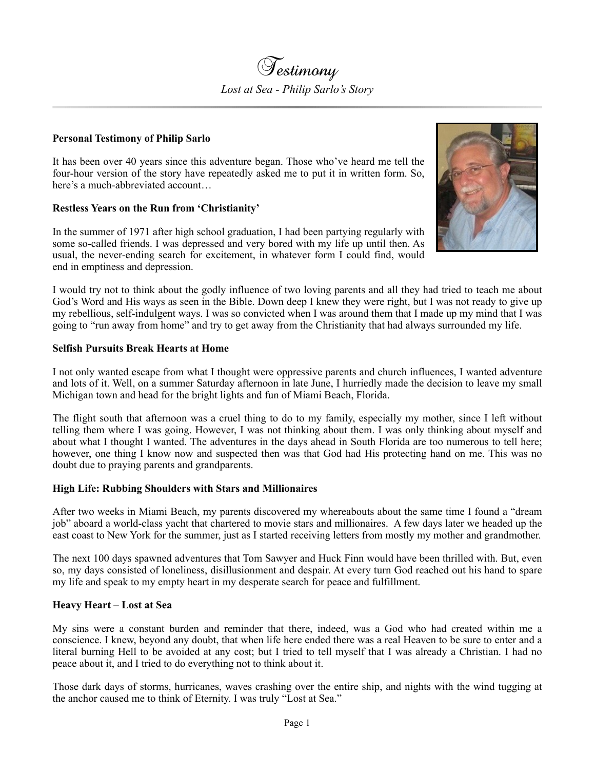

## **Personal Testimony of Philip Sarlo**

It has been over 40 years since this adventure began. Those who've heard me tell the four-hour version of the story have repeatedly asked me to put it in written form. So, here's a much-abbreviated account…

# **Restless Years on the Run from 'Christianity'**

In the summer of 1971 after high school graduation, I had been partying regularly with some so-called friends. I was depressed and very bored with my life up until then. As usual, the never-ending search for excitement, in whatever form I could find, would end in emptiness and depression.



I would try not to think about the godly influence of two loving parents and all they had tried to teach me about God's Word and His ways as seen in the Bible. Down deep I knew they were right, but I was not ready to give up my rebellious, self-indulgent ways. I was so convicted when I was around them that I made up my mind that I was going to "run away from home" and try to get away from the Christianity that had always surrounded my life.

### **Selfish Pursuits Break Hearts at Home**

I not only wanted escape from what I thought were oppressive parents and church influences, I wanted adventure and lots of it. Well, on a summer Saturday afternoon in late June, I hurriedly made the decision to leave my small Michigan town and head for the bright lights and fun of Miami Beach, Florida.

The flight south that afternoon was a cruel thing to do to my family, especially my mother, since I left without telling them where I was going. However, I was not thinking about them. I was only thinking about myself and about what I thought I wanted. The adventures in the days ahead in South Florida are too numerous to tell here; however, one thing I know now and suspected then was that God had His protecting hand on me. This was no doubt due to praying parents and grandparents.

### **High Life: Rubbing Shoulders with Stars and Millionaires**

After two weeks in Miami Beach, my parents discovered my whereabouts about the same time I found a "dream job" aboard a world-class yacht that chartered to movie stars and millionaires. A few days later we headed up the east coast to New York for the summer, just as I started receiving letters from mostly my mother and grandmother.

The next 100 days spawned adventures that Tom Sawyer and Huck Finn would have been thrilled with. But, even so, my days consisted of loneliness, disillusionment and despair. At every turn God reached out his hand to spare my life and speak to my empty heart in my desperate search for peace and fulfillment.

### **Heavy Heart – Lost at Sea**

My sins were a constant burden and reminder that there, indeed, was a God who had created within me a conscience. I knew, beyond any doubt, that when life here ended there was a real Heaven to be sure to enter and a literal burning Hell to be avoided at any cost; but I tried to tell myself that I was already a Christian. I had no peace about it, and I tried to do everything not to think about it.

Those dark days of storms, hurricanes, waves crashing over the entire ship, and nights with the wind tugging at the anchor caused me to think of Eternity. I was truly "Lost at Sea."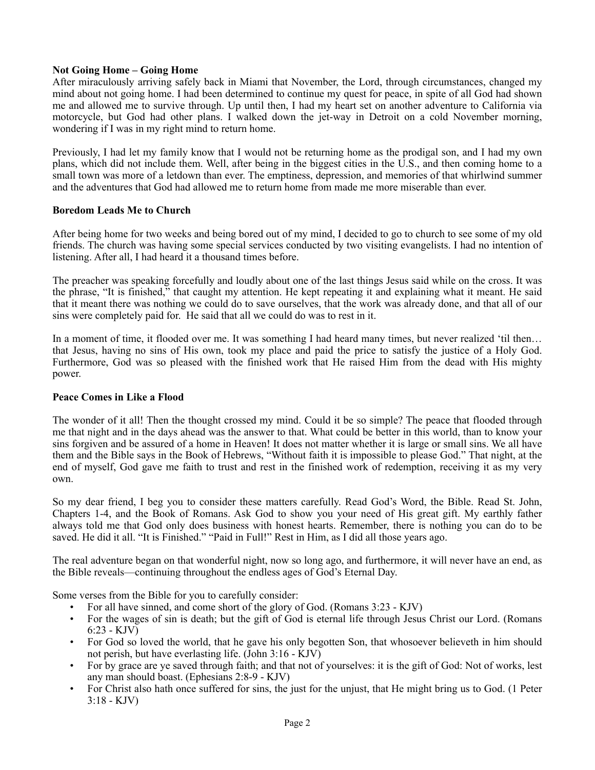# **Not Going Home – Going Home**

After miraculously arriving safely back in Miami that November, the Lord, through circumstances, changed my mind about not going home. I had been determined to continue my quest for peace, in spite of all God had shown me and allowed me to survive through. Up until then, I had my heart set on another adventure to California via motorcycle, but God had other plans. I walked down the jet-way in Detroit on a cold November morning, wondering if I was in my right mind to return home.

Previously, I had let my family know that I would not be returning home as the prodigal son, and I had my own plans, which did not include them. Well, after being in the biggest cities in the U.S., and then coming home to a small town was more of a letdown than ever. The emptiness, depression, and memories of that whirlwind summer and the adventures that God had allowed me to return home from made me more miserable than ever.

# **Boredom Leads Me to Church**

After being home for two weeks and being bored out of my mind, I decided to go to church to see some of my old friends. The church was having some special services conducted by two visiting evangelists. I had no intention of listening. After all, I had heard it a thousand times before.

The preacher was speaking forcefully and loudly about one of the last things Jesus said while on the cross. It was the phrase, "It is finished," that caught my attention. He kept repeating it and explaining what it meant. He said that it meant there was nothing we could do to save ourselves, that the work was already done, and that all of our sins were completely paid for. He said that all we could do was to rest in it.

In a moment of time, it flooded over me. It was something I had heard many times, but never realized 'til then… that Jesus, having no sins of His own, took my place and paid the price to satisfy the justice of a Holy God. Furthermore, God was so pleased with the finished work that He raised Him from the dead with His mighty power.

# **Peace Comes in Like a Flood**

The wonder of it all! Then the thought crossed my mind. Could it be so simple? The peace that flooded through me that night and in the days ahead was the answer to that. What could be better in this world, than to know your sins forgiven and be assured of a home in Heaven! It does not matter whether it is large or small sins. We all have them and the Bible says in the Book of Hebrews, "Without faith it is impossible to please God." That night, at the end of myself, God gave me faith to trust and rest in the finished work of redemption, receiving it as my very own.

So my dear friend, I beg you to consider these matters carefully. Read God's Word, the Bible. Read St. John, Chapters 1-4, and the Book of Romans. Ask God to show you your need of His great gift. My earthly father always told me that God only does business with honest hearts. Remember, there is nothing you can do to be saved. He did it all. "It is Finished." "Paid in Full!" Rest in Him, as I did all those years ago.

The real adventure began on that wonderful night, now so long ago, and furthermore, it will never have an end, as the Bible reveals—continuing throughout the endless ages of God's Eternal Day.

Some verses from the Bible for you to carefully consider:

- For all have sinned, and come short of the glory of God. (Romans 3:23 KJV)
- For the wages of sin is death; but the gift of God is eternal life through Jesus Christ our Lord. (Romans 6:23 - KJV)
- For God so loved the world, that he gave his only begotten Son, that whosoever believeth in him should not perish, but have everlasting life. (John 3:16 - KJV)
- For by grace are ye saved through faith; and that not of yourselves: it is the gift of God: Not of works, lest any man should boast. (Ephesians 2:8-9 - KJV)
- For Christ also hath once suffered for sins, the just for the unjust, that He might bring us to God. (1 Peter 3:18 - KJV)